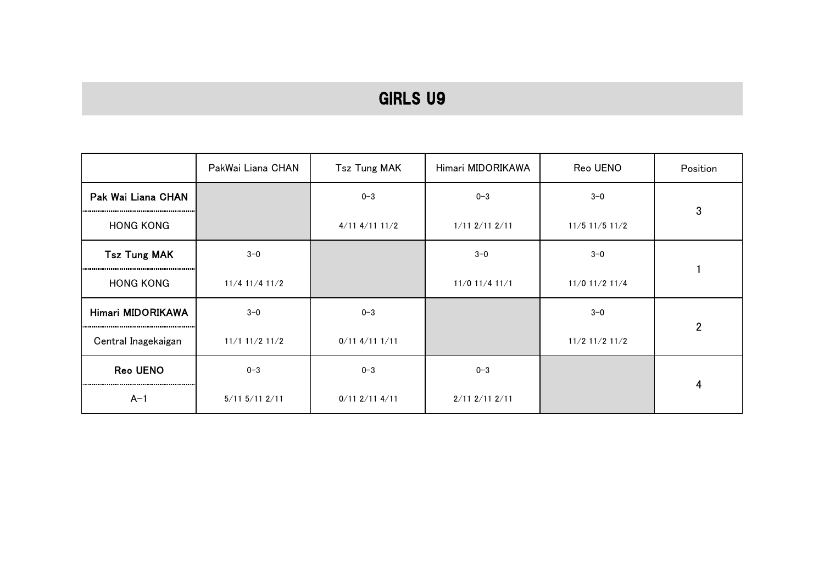|                     | PakWai Liana CHAN    | <b>Tsz Tung MAK</b>  | Himari MIDORIKAWA    | Reo UENO         | Position       |
|---------------------|----------------------|----------------------|----------------------|------------------|----------------|
| Pak Wai Liana CHAN  |                      | $0 - 3$              | $0 - 3$              | $3 - 0$          |                |
| <b>HONG KONG</b>    |                      | $4/11$ $4/11$ $11/2$ | $1/11$ $2/11$ $2/11$ | $11/5$ 11/5 11/2 | 3              |
| <b>Tsz Tung MAK</b> | $3 - 0$              |                      | $3 - 0$              | $3-0$            |                |
| <b>HONG KONG</b>    | $11/4$ 11/4 11/2     |                      | 11/0 11/4 11/1       | 11/0 11/2 11/4   |                |
| Himari MIDORIKAWA   | $3 - 0$              | $0 - 3$              |                      | $3 - 0$          | $\overline{2}$ |
| Central Inagekaigan | $11/1$ 11/2 11/2     | $0/11$ 4/11 1/11     |                      | $11/2$ 11/2 11/2 |                |
| Reo UENO            | $0 - 3$              | $0 - 3$              | $0 - 3$              |                  |                |
| $A-1$               | $5/11$ $5/11$ $2/11$ | $0/11$ 2/11 4/11     | $2/11$ $2/11$ $2/11$ |                  | 4              |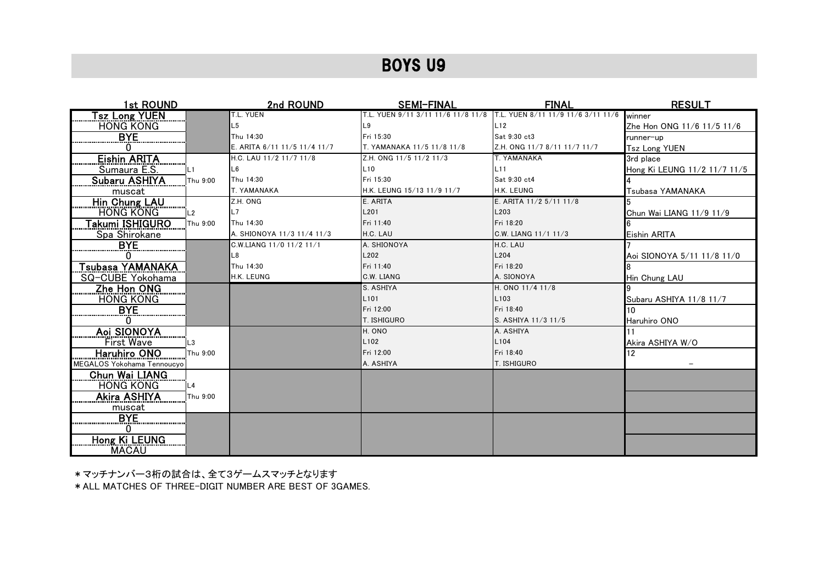| 1st ROUND                  |          | 2nd ROUND                    | <b>SEMI-FINAL</b>                  | <b>FINAL</b>                       | <b>RESULT</b>                |
|----------------------------|----------|------------------------------|------------------------------------|------------------------------------|------------------------------|
| <b><u>Sz Long YUEN</u></b> |          | T.L. YUEN                    | T.L. YUEN 9/11 3/11 11/6 11/8 11/8 | T.L. YUEN 8/11 11/9 11/6 3/11 11/6 | winner                       |
| <b>HONG KONG</b>           |          | L5                           | L <sub>9</sub>                     | L12                                | Zhe Hon ONG 11/6 11/5 11/6   |
| BYE.                       |          | Thu 14:30                    | Fri 15:30                          | Sat 9:30 ct3                       | runner-up                    |
|                            |          | E. ARITA 6/11 11/5 11/4 11/7 | T. YAMANAKA 11/5 11/8 11/8         | Z.H. ONG 11/7 8/11 11/7 11/7       | <b>Tsz Long YUEN</b>         |
| <b>Eishin ARITA</b>        |          | H.C. LAU 11/2 11/7 11/8      | Z.H. ONG 11/5 11/2 11/3            | T. YAMANAKA                        | 3rd place                    |
| Sumaura E.S.               | L1       | L <sub>6</sub>               | L10                                | L11                                | Hong Ki LEUNG 11/2 11/7 11/5 |
| Subaru ASHIYA              | Thu 9:00 | Thu 14:30                    | Fri 15:30                          | Sat 9:30 ct4                       |                              |
| muscat                     |          | T. YAMANAKA                  | H.K. LEUNG 15/13 11/9 11/7         | H.K. LEUNG                         | Tsubasa YAMANAKA             |
| Hin Chung LAU              |          | Z.H. ONG                     | E. ARITA                           | E. ARITA 11/2 5/11 11/8            |                              |
| <b>HONG KONG</b>           | L2       | L7                           | L <sub>201</sub>                   | L203                               | Chun Wai LIANG 11/9 11/9     |
| Takumi ISHIGURO            | Thu 9:00 | Thu 14:30                    | Fri 11:40                          | Fri 18:20                          |                              |
| Spa Shirokane              |          | A. SHIONOYA 11/3 11/4 11/3   | H.C. LAU                           | C.W. LIANG 11/1 11/3               | <b>Eishin ARITA</b>          |
| <b>BYE</b>                 |          | C.W.LIANG 11/0 11/2 11/1     | A. SHIONOYA                        | H.C. LAU                           |                              |
|                            |          | L8                           | L202                               | L <sub>204</sub>                   | Aoi SIONOYA 5/11 11/8 11/0   |
| Tsubasa YAMANAKA           |          | Thu 14:30                    | Fri 11:40                          | Fri 18:20                          |                              |
| SQ-CUBE Yokohama           |          | H.K. LEUNG                   | C.W. LIANG                         | A. SIONOYA                         | Hin Chung LAU                |
| Zhe Hon ONG                |          |                              | S. ASHIYA                          | H. ONO 11/4 11/8                   |                              |
| <b>HONG KONG</b>           |          |                              | L <sub>101</sub>                   | L <sub>103</sub>                   | Subaru ASHIYA 11/8 11/7      |
| BYE.                       |          |                              | Fri 12:00                          | Fri 18:40                          | 10                           |
|                            |          |                              | T. ISHIGURO                        | S. ASHIYA 11/3 11/5                | Haruhiro ONO                 |
| Aoi SIONOYA                |          |                              | H. ONO                             | A. ASHIYA                          |                              |
| First Wave                 | L3       |                              | L <sub>102</sub>                   | L104                               | Akira ASHIYA W/O             |
| Haruhiro ONO               | Thu 9:00 |                              | Fri 12:00                          | Fri 18:40                          | 12                           |
| MEGALOS Yokohama Tennoucyo |          |                              | A. ASHIYA                          | <b>T. ISHIGURO</b>                 |                              |
| Chun Wai LIANG             |          |                              |                                    |                                    |                              |
| <b>HONG KONG</b>           | L4       |                              |                                    |                                    |                              |
| <b>Akira ASHIYA</b>        | Thu 9:00 |                              |                                    |                                    |                              |
| muscat                     |          |                              |                                    |                                    |                              |
| <b>BYE</b>                 |          |                              |                                    |                                    |                              |
|                            |          |                              |                                    |                                    |                              |
| <b>Hong Ki LEUNG</b>       |          |                              |                                    |                                    |                              |
| <b>MACAU</b>               |          |                              |                                    |                                    |                              |

\*マッチナンバー3桁の試合は、全て3ゲームスマッチとなります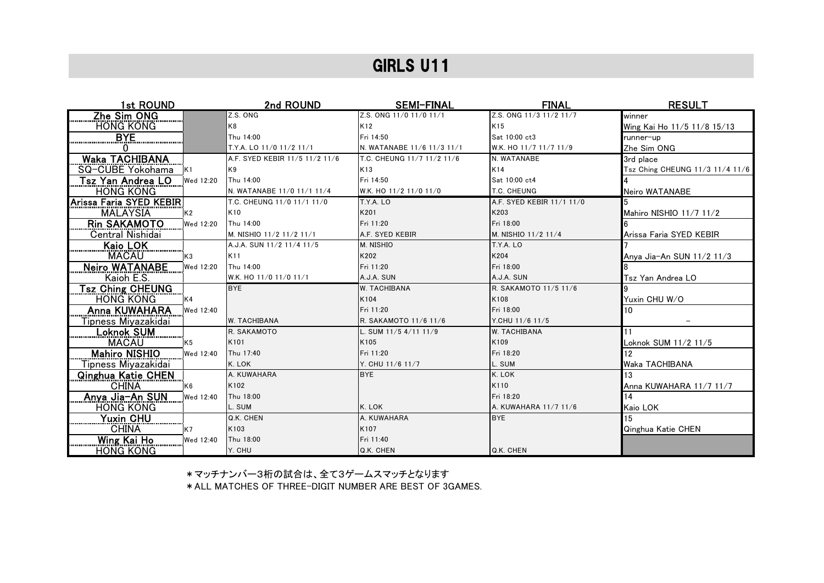| 1st ROUND                           | 2nd ROUND                      | <b>SEMI-FINAL</b>          | <b>FINAL</b>              | <b>RESULT</b>                   |
|-------------------------------------|--------------------------------|----------------------------|---------------------------|---------------------------------|
| Zhe Sim ONG                         | Z.S. ONG                       | Z.S. ONG 11/0 11/0 11/1    | Z.S. ONG 11/3 11/2 11/7   | winner                          |
| <b>HONG KONG</b>                    | K8                             | K12                        | K15                       | Wing Kai Ho 11/5 11/8 15/13     |
| <u>BYE</u>                          | Thu 14:00                      | Fri 14:50                  | Sat 10:00 ct3             | runner-up                       |
|                                     | T.Y.A. LO 11/0 11/2 11/1       | N. WATANABE 11/6 11/3 11/1 | W.K. HO 11/7 11/7 11/9    | Zhe Sim ONG                     |
| <b>Waka TACHIBANA</b>               | A.F. SYED KEBIR 11/5 11/2 11/6 | T.C. CHEUNG 11/7 11/2 11/6 | N. WATANABE               | 3rd place                       |
| SQ-CUBE Yokohama<br>K <sub>1</sub>  | K9                             | K13                        | K14                       | Tsz Ching CHEUNG 11/3 11/4 11/6 |
| Tsz Yan Andrea LO<br>Wed 12:20      | Thu 14:00                      | Fri 14:50                  | Sat 10:00 ct4             |                                 |
| <b>HONG KONG</b>                    | N. WATANABE 11/0 11/1 11/4     | W.K. HO 11/2 11/0 11/0     | T.C. CHEUNG               | Neiro WATANABE                  |
| Arissa Faria SYED KEBIR             | T.C. CHEUNG 11/0 11/1 11/0     | T.Y.A. LO                  | A.F. SYED KEBIR 11/1 11/0 |                                 |
| <b>MALAYSIA</b><br>K2               | K10                            | K201                       | K203                      | Mahiro NISHIO 11/7 11/2         |
| <b>Rin SAKAMOTO</b><br>Wed 12:20    | Thu 14:00                      | Fri 11:20                  | Fri 18:00                 |                                 |
| Central Nishidai                    | M. NISHIO 11/2 11/2 11/1       | A.F. SYED KEBIR            | M. NISHIO 11/2 11/4       | Arissa Faria SYED KEBIR         |
| Kaio LOK<br>                        | A.J.A. SUN 11/2 11/4 11/5      | M. NISHIO                  | T.Y.A. LO                 |                                 |
| <b>MACAU</b><br>K <sub>3</sub>      | K11                            | K202                       | K204                      | Anya Jia-An SUN 11/2 11/3       |
| <b>Neiro WATANABE</b><br>Wed 12:20  | Thu 14:00                      | Fri 11:20                  | Fri 18:00                 |                                 |
| Kaioh E.S.                          | W.K. HO 11/0 11/0 11/1         | A.J.A. SUN                 | A.J.A. SUN                | Tsz Yan Andrea LO               |
| <b>Tsz Ching CHEUNG</b>             | <b>BYE</b>                     | <b>W. TACHIBANA</b>        | R. SAKAMOTO 11/5 11/6     |                                 |
| <b>HONG KONG</b><br>K4              |                                | K104                       | K108                      | Yuxin CHU W/O                   |
| Anna KUWAHARA<br>Wed 12:40          |                                | Fri 11:20                  | Fri 18:00                 | 10                              |
| <u>Tipness Miyazakidai</u>          | <b>W. TACHIBANA</b>            | R. SAKAMOTO 11/6 11/6      | Y.CHU 11/6 11/5           |                                 |
| <b>Loknok SUM</b><br>               | R. SAKAMOTO                    | L. SUM 11/5 4/11 11/9      | <b>W. TACHIBANA</b>       | 11                              |
| <b>MACAU</b><br>K5                  | K101                           | K105                       | K109                      | Loknok SUM 11/2 11/5            |
| <b>Mahiro NISHIO</b><br>Wed 12:40   | Thu 17:40                      | Fri 11:20                  | Fri 18:20                 |                                 |
| Tipness Miyazakidai                 | K. LOK                         | Y. CHU 11/6 11/7           | L. SUM                    | Waka TACHIBANA                  |
| <b>Qinghua Katie CHEN</b>           | A. KUWAHARA                    | <b>BYE</b>                 | K. LOK                    | 13                              |
| <b>CHINA</b><br>K <sub>6</sub>      | K102                           |                            | K110                      | Anna KUWAHARA 11/7 11/7         |
| <u>Anya Jia-An SUN</u><br>Wed 12:40 | Thu 18:00                      |                            | Fri 18:20                 | 14                              |
| <b>HONG KONG</b>                    | L. SUM                         | K. LOK                     | A. KUWAHARA 11/7 11/6     | Kaio LOK                        |
| Yuxin CHU                           | Q.K. CHEN                      | A. KUWAHARA                | <b>BYE</b>                |                                 |
| <b>CHINA</b><br>K7                  | K103                           | K107                       |                           | Qinghua Katie CHEN              |
| Wing Kai Ho<br>Wed 12:40            | Thu 18:00                      | Fri 11:40                  |                           |                                 |
| <b>HONG KONG</b>                    | Y. CHU                         | Q.K. CHEN                  | Q.K. CHEN                 |                                 |

\*マッチナンバー3桁の試合は、全て3ゲームスマッチとなります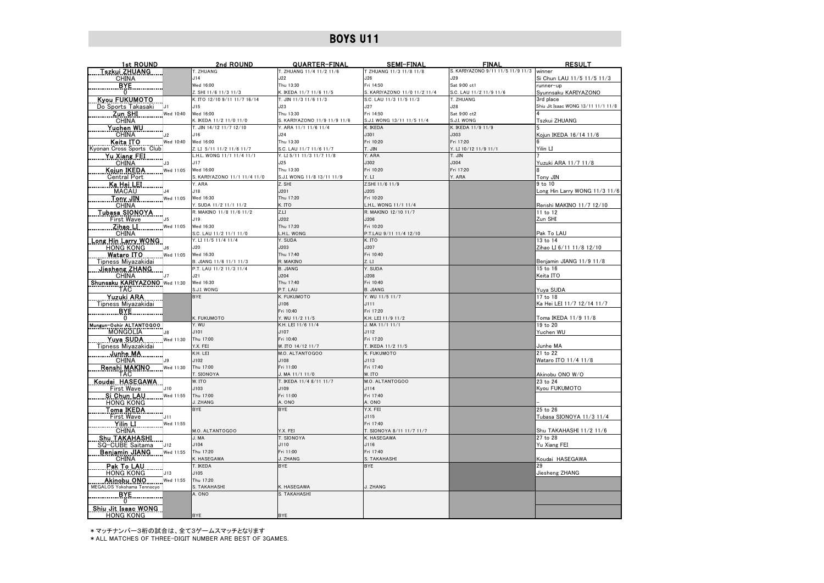| 1st ROUND                               | 2nd ROUND                            | QUARTER-FINAL                | <b>SEMI-FINAL</b>            | <b>FINAL</b>                             | <b>RESULT</b>                        |
|-----------------------------------------|--------------------------------------|------------------------------|------------------------------|------------------------------------------|--------------------------------------|
| Tszkui ZHUANG                           | T. ZHUANG                            | T. ZHUANG 11/4 11/2 11/6     | T ZHUANG 11/3 11/8 11/8      | S. KARIYAZONO 9/11 11/5 11/9 11/3 winner |                                      |
| <b>CHINA</b>                            | J14                                  | J22                          | J26                          | J29                                      | Si Chun LAU 11/5 11/5 11/3           |
| BYE.                                    | Wed 16:00                            | Thu 13:30                    | Fri 14:50                    | Sat 9:00 ct1                             | runner-up                            |
| $\mathbf{0}$                            | Z. SHI 11/6 11/3 11/3                | K. IKEDA 11/7 11/6 11/5      | S. KARIYAZONO 11/0 11/2 11/4 | S.C. LAU 11/2 11/9 11/6                  | Svunnsaku KARIYAZONO                 |
| <b>Kyou FUKUMOTO</b>                    | K. ITO 12/10 9/11 11/7 16/14         | T. JIN 11/3 11/6 11/3        | S.C. LAU 11/3 11/5 11/3      | T. ZHUANG                                | 3rd place                            |
| Do Sports Takasaki<br>IJ1               | J15                                  | J23                          | J27                          | J28                                      | Shiu Jit Isaac WONG 13/11 11/1 11/8  |
| Zun SHI<br>Wed 10:40                    | Wed 16:00                            | Thu 13:30                    | Fri 14:50                    | Sat 9:00 ct2                             |                                      |
| <b>CHINA</b>                            | K. IKEDA 11/2 11/0 11/0              | S. KARIYAZONO 11/9 11/9 11/6 | S.J.I. WONG 13/11 11/5 11/4  | S.J.I. WONG                              | Tszkui ZHUANG                        |
| Yuchen WU                               | T. JIN 14/12 11/7 12/10              | Y. ARA 11/1 11/6 11/4        | K. IKEDA                     | K. IKEDA 11/9 11/9                       |                                      |
| <b>CHINA</b><br>J2                      | J16                                  | J24                          | J301                         | J303                                     | Koiun IKEDA 16/14 11/6               |
| Keita ITO<br>Wed 10:40                  | Wed 16:00                            | Thu 13:30                    | Fri 10:20                    | Fri 17:20                                |                                      |
| Kyonan Cross Sports Club                | Z. LI 5/11 11/2 11/6 11/7            | S.C. LAU 11/7 11/6 11/7      | T. JIN                       | Y. LI 10/12 11/9 11/1                    | Yilin LI                             |
| <b>Yu Xiang FEI</b>                     | L.H.L. WONG 11/1 11/4 11/1           | Y. LI 5/11 11/3 11/7 11/8    | Y. ARA                       | T. JIN                                   |                                      |
| <b>CHINA</b><br>J3                      | J17                                  | J25                          | J302                         | J304                                     | Yuzuki ARA 11/7 11/8                 |
| Kojun IKEDA<br>Wed 11:05                | Wed 16:00                            | Thu 13:30                    | Fri 10:20                    | Fri 17:20                                |                                      |
| <b>Central Port</b>                     | S. KARIYAZONO 11/1 11/4 11/0         | S.J.I. WONG 11/8 13/11 11/9  | Y. LI                        | Y. ARA                                   | Tony JIN                             |
| Ka Hei LEI                              | Y. ARA                               | Z. SHI                       | Z.SHI 11/6 11/9              |                                          | 9 to 10                              |
| <b>MACAU</b><br>$\overline{A}$          | J18                                  | J201                         | J205                         |                                          | Long Hin Larry WONG 11/3 11/6        |
| Tony JIN<br>Wed 11:05                   | Wed 16:30                            | Thu 17:20                    | Fri 10:20                    |                                          |                                      |
| <b>CHINA</b>                            | Y. SUDA 11/2 11/1 11/2               | K. ITO                       | L.H.L. WONG 11/1 11/4        |                                          | Renshi MAKINO 11/7 12/10             |
| <u>Tubasa SIONOYA</u>                   | R. MAKINO 11/8 11/6 11/2             | Z.LI                         | R. MAKINO 12/10 11/7         |                                          | $11$ to 12                           |
| First Wave<br>J5                        | J19                                  | J202                         | J206                         |                                          | Zun SHI                              |
| Zihao LI<br>Wed 11:05                   | Wed 16:30                            | Thu 17:20                    | Fri 10:20                    |                                          |                                      |
| <b>CHINA</b>                            | S.C. LAU 11/2 11/1 11/0              | L.H.L. WONG                  | P.T.LAU 9/11 11/4 12/10      |                                          | Pak To LAU                           |
| <u> Long Hin Larry WONG</u>             | Y. LI 11/5 11/4 11/4<br>J20          | Y. SUDA<br>J203              | K. ITO<br>J207               |                                          | 13 to 14                             |
| <b>HONG KONG</b><br>J6                  |                                      | Thu 17:40                    | Fri 10:40                    |                                          | Zihao LI 6/11 11/8 12/10             |
| Wataro ITO<br>Wed 11:05                 | Wed 16:30<br>B. JIANG 11/6 11/1 11/3 | R. MAKINO                    | Z. LI                        |                                          |                                      |
| Tipness Miyazakidai<br>Jiesheng ZHANG   | P.T. LAU 11/2 11/3 11/4              | <b>B. JIANG</b>              | Y. SUDA                      |                                          | Benjamin JIANG 11/9 11/8<br>15 to 16 |
| <b>CHINA</b>                            | J21                                  | J204                         | J208                         |                                          | Keita ITO                            |
| Shunsaku KARIYAZONO Wed 11:30           | Wed 16:30                            | Thu 17:40                    | Fri 10:40                    |                                          |                                      |
| <b>TAC</b>                              | S.J.I. WONG                          | P.T. LAU                     | <b>B. JIANG</b>              |                                          | Yuya SUDA                            |
| Yuzuki ARA                              | <b>BYE</b>                           | K. FUKUMOTO                  | Y. WU 11/5 11/7              |                                          | 17 to 18                             |
| Tipness Miyazakidai                     |                                      | J106                         | J111                         |                                          | Ka Hei LEI 11/7 12/14 11/7           |
| <b>BYE</b>                              |                                      | Fri 10:40                    | Fri 17:20                    |                                          |                                      |
| 0                                       | K. FUKUMOTO                          | Y. WU 11/2 11/5              | K.H. LEI 11/9 11/2           |                                          | Toma IKEDA 11/9 11/8                 |
| Mungun-Ochir ALTANTOGOO                 | Y. WU                                | K.H. LEI 11/6 11/4           | $J. MA$ $11/1$ $11/1$        |                                          | 19 to 20                             |
| <b>MONGOLIA</b><br>$\mathsf{J}8$        | J101                                 | J107                         | J112                         |                                          | Yuchen WU                            |
| Yuya SUDA<br>Wed 11:30                  | Thu 17:00                            | Fri 10:40                    | Fri 17:20                    |                                          |                                      |
| Tipness Miyazakidai                     | Y.X. FEI                             | W. ITO 14/12 11/7            | T. IKEDA 11/2 11/5           |                                          | Junhe MA                             |
| Junhe MA                                | K.H. LEI                             | M.O. ALTANTOGOO              | K. FUKUMOTO                  |                                          | 21 to 22                             |
| <b>CHINA</b><br>19                      | J102                                 | J108                         | J113                         |                                          | Wataro ITO 11/4 11/8                 |
| Renshi MAKINO<br>Wed 11:30              | Thu 17:00                            | Fri 11:00                    | Fri 17:40                    |                                          |                                      |
| <b>TAC</b>                              | T. SIONOYA                           | J. MA $11/1$ $11/0$          | W. ITO                       |                                          | Akinobu ONO W/O                      |
| Koudai HASEGAWA                         | W. ITO                               | T. IKEDA 11/4 8/11 11/7      | M.O. ALTANTOGOO              |                                          | 23 to 24                             |
| <b>First Wave</b><br>J10                | J103                                 | J109                         | J114                         |                                          | Kyou FUKUMOTO                        |
| Si Chun LAU<br>Wed 11:55                | Thu 17:00                            | Fri 11:00                    | Fri 17:40                    |                                          |                                      |
| <b>HONG KONG</b>                        | J. ZHANG                             | A. ONO                       | A. ONO                       |                                          |                                      |
| <b>Toma IKEDA</b>                       | <b>BYE</b>                           | <b>BYE</b>                   | Y.X. FEI                     |                                          | 25 to 26                             |
| First Wave<br>J11                       |                                      |                              | J115                         |                                          | Tubasa SIONOYA 11/3 11/4             |
| $\overline{Y}$ ilin LI<br>Wed 11:55     |                                      |                              | Fri 17:40                    |                                          |                                      |
| <b>CHINA</b>                            | M.O. ALTANTOGOO                      | Y.X. FEI                     | T. SIONOYA 8/11 11/7 11/7    |                                          | Shu TAKAHASHI 11/2 11/6              |
| <b>Shu TAKAHASHI</b>                    | J. MA                                | T. SIONOYA                   | K. HASEGAWA                  |                                          | 27 to 28                             |
| SQ-CUBE Saitama<br>J12                  | J104                                 | J110                         | J116                         |                                          | Yu Xiang FEI                         |
| Benjamin JIANG<br>Wed 11:55             | Thu 17:20                            | Fri 11:00                    | Fri 17:40                    |                                          |                                      |
| <b>CHINA</b>                            | K. HASEGAWA                          | J. ZHANG                     | S. TAKAHASHI                 |                                          | Koudai HASEGAWA                      |
| Pak To LAU                              | T. IKEDA                             | <b>BYE</b>                   | <b>BYE</b>                   |                                          | 29                                   |
| <b>HONG KONG</b><br>J13                 | J105                                 |                              |                              |                                          | Jiesheng ZHANG                       |
| Akinobu ONO<br>Wed 11:55                | Thu 17:20                            |                              |                              |                                          |                                      |
| MEGALOS Yokohama Tennocyo               | S. TAKAHASHI                         | K. HASEGAWA                  | J. ZHANG                     |                                          |                                      |
| <b>BYE</b>                              | A. ONO                               | S. TAKAHASHI                 |                              |                                          |                                      |
| 0                                       |                                      |                              |                              |                                          |                                      |
| Shiu Jit Isaac WONG<br><b>HONG KONG</b> | BYE                                  | <b>BYE</b>                   |                              |                                          |                                      |
|                                         |                                      |                              |                              |                                          |                                      |

\*マッチナンバー3桁の試合は、全て3ゲームスマッチとなります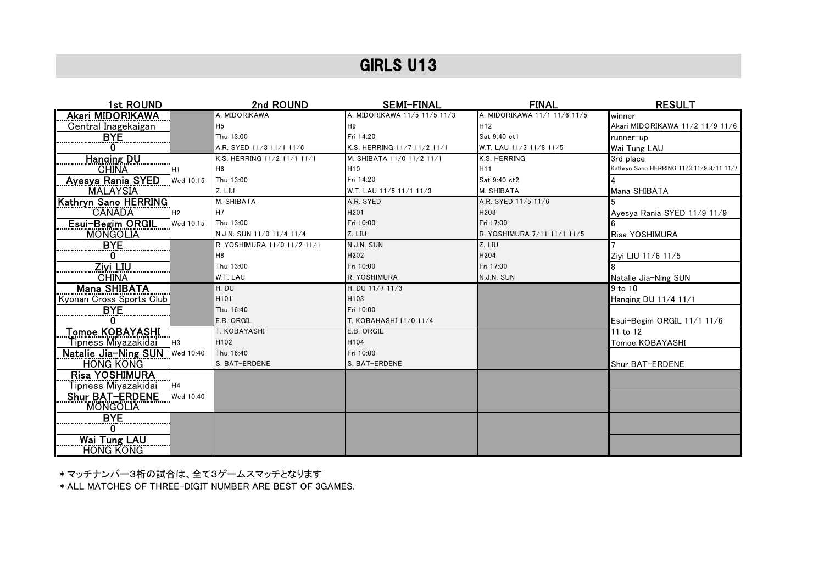| 1st ROUND                             | 2nd ROUND                   | <b>SEMI-FINAL</b>            | <b>FINAL</b>                 | <b>RESULT</b>                            |
|---------------------------------------|-----------------------------|------------------------------|------------------------------|------------------------------------------|
| Akari MIDORIKAWA                      | A. MIDORIKAWA               | A. MIDORIKAWA 11/5 11/5 11/3 | A. MIDORIKAWA 11/1 11/6 11/5 | winner                                   |
| Central Inagekaigan                   | H <sub>5</sub>              | H9                           | H <sub>12</sub>              | Akari MIDORIKAWA 11/2 11/9 11/6          |
| <u>BYE </u>                           | Thu 13:00                   | Fri 14:20                    | Sat 9:40 ct1                 | runner-up                                |
|                                       | A.R. SYED 11/3 11/1 11/6    | K.S. HERRING 11/7 11/2 11/1  | W.T. LAU 11/3 11/8 11/5      | Wai Tung LAU                             |
| <b>Hanging DU</b>                     | K.S. HERRING 11/2 11/1 11/1 | M. SHIBATA 11/0 11/2 11/1    | K.S. HERRING                 | 3rd place                                |
| <b>CHINA</b><br>H1                    | H <sub>6</sub>              | H <sub>10</sub>              | H <sub>11</sub>              | Kathryn Sano HERRING 11/3 11/9 8/11 11/7 |
| Ayesya Rania SYED<br>Wed 10:15        | Thu 13:00                   | Fri 14:20                    | Sat 9:40 ct2                 |                                          |
| <b>MALAYSIA</b>                       | Z. LIU                      | W.T. LAU 11/5 11/1 11/3      | M. SHIBATA                   | Mana SHIBATA                             |
| Kathryn Sano HERRING                  | M. SHIBATA                  | A.R. SYED                    | A.R. SYED 11/5 11/6          |                                          |
| <b>CANADA</b><br>H <sub>2</sub>       | H <sub>7</sub>              | H201                         | H203                         | Avesva Rania SYED 11/9 11/9              |
| Esui-Begim ORGIL<br>Wed 10:15         | Thu 13:00                   | Fri 10:00                    | Fri 17:00                    |                                          |
| <b>MONGOLIA</b>                       | N.J.N. SUN 11/0 11/4 11/4   | Z. LIU                       | R. YOSHIMURA 7/11 11/1 11/5  | Risa YOSHIMURA                           |
| <b>BYE</b>                            | R. YOSHIMURA 11/0 11/2 11/1 | N.J.N. SUN                   | Z. LIU                       |                                          |
|                                       | H <sub>8</sub>              | H202                         | H204                         | Zivi LIU 11/6 11/5                       |
| <b>Ziyi LIU</b>                       | Thu 13:00                   | Fri 10:00                    | Fri 17:00                    |                                          |
| <b>CHINA</b>                          | W.T. LAU                    | R. YOSHIMURA                 | N.J.N. SUN                   | Natalie Jia-Ning SUN                     |
| <b>Mana SHIBATA</b>                   | $H.$ DU                     | H. DU 11/7 11/3              |                              | 9 to 10                                  |
| Kyonan Cross Sports Club              | H101                        | H103                         |                              | Hanging DU 11/4 11/1                     |
|                                       | Thu 16:40                   | Fri 10:00                    |                              |                                          |
|                                       | E.B. ORGIL                  | T. KOBAHASHI 11/0 11/4       |                              | Esui-Begim ORGIL 11/1 11/6               |
| Tomoe KOBAYASHI                       | T. KOBAYASHI                | E.B. ORGIL                   |                              | 11 to 12                                 |
| Tipness Miyazakidai<br>H <sub>3</sub> | H102                        | H104                         |                              | Tomoe KOBAYASHI                          |
| Natalie Jia-Ning SUN Ved 10:40        | Thu 16:40                   | Fri 10:00                    |                              |                                          |
| <b>HONG KONG</b>                      | S. BAT-ERDENE               | S. BAT-ERDENE                |                              | Shur BAT-ERDENE                          |
| <u>Risa YOSHIMURA</u>                 |                             |                              |                              |                                          |
| Tipness Miyazakidai<br>H4             |                             |                              |                              |                                          |
| Shur BAT-ERDENE<br>Wed 10:40          |                             |                              |                              |                                          |
| <b>MONGOLIA</b>                       |                             |                              |                              |                                          |
| <b>BYE</b>                            |                             |                              |                              |                                          |
|                                       |                             |                              |                              |                                          |
| Wai Tung LAU                          |                             |                              |                              |                                          |
| <b>HONG KONG</b>                      |                             |                              |                              |                                          |

\*マッチナンバー3桁の試合は、全て3ゲームスマッチとなります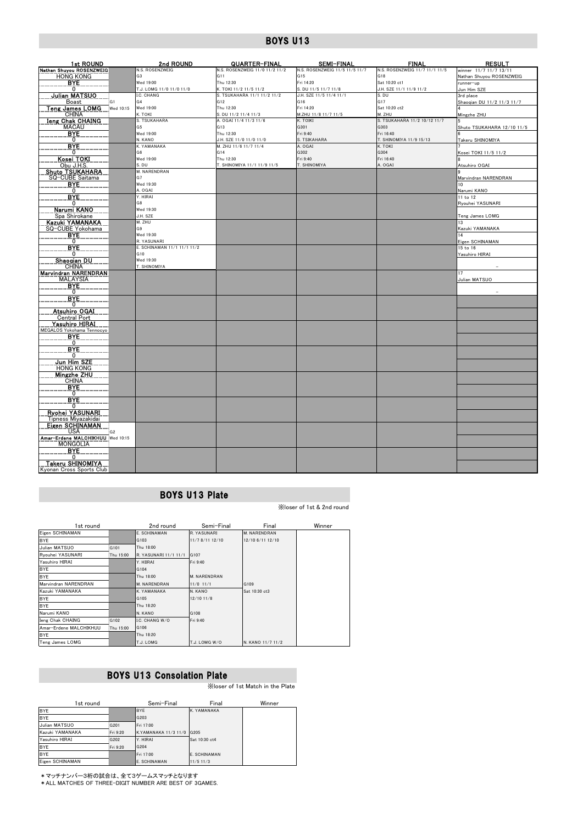| 1st ROUND                                          | 2nd ROUND                              | QUARTER-FINAL                                         | SEMI-FINAL                                      | <b>FINAL</b>                     | <b>RESULT</b>              |
|----------------------------------------------------|----------------------------------------|-------------------------------------------------------|-------------------------------------------------|----------------------------------|----------------------------|
| Nathan Shuyou ROSENZWEIG                           | N.S. ROSENZWEIG                        | N.S. ROSENZWEIG 11/0 11/2 11/2                        | N.S. ROSENZWEIG 11/5 11/5 11/7                  | N.S. ROSENZWEIG 11/7 11/1 11/5   | winner 11/7 11/7 13/11     |
| <b>HONG KONG</b>                                   | G3                                     | G11                                                   | G <sub>15</sub>                                 | G18                              | Nathan Shuyou ROSENZWEIG   |
| BYE                                                | Wed 19:00                              | Thu 12:30                                             | Fri 14:20                                       | Sat 10:20 ct1                    | unner-up                   |
| 0<br><b>Julian MATSUO</b>                          | T.J. LOMG 11/0 11/0 11/0<br>I.C. CHANG | K. TOKI 11/2 11/5 11/2<br>S. TSUKAHARA 11/1 11/2 11/2 | S. DU 11/5 11/7 11/8<br>J.H. SZE 11/5 11/4 11/1 | J.H. SZE 11/1 11/9 11/2<br>S. DU | Jun Him SZE<br>3rd place   |
| G <sub>1</sub><br>Boast                            | G4                                     | G <sub>12</sub>                                       | G16                                             | G <sub>17</sub>                  | Shaoqian DU 11/2 11/3 11/7 |
| <u>Teng James LOMG</u><br>Wed 10:15                | Wed 19:00                              | Thu 12:30                                             | Fri 14:20                                       | Sat 10:20 ct2                    |                            |
| <b>CHINA</b>                                       | K. TOKI                                | S. DU 11/2 11/4 11/3                                  | M.ZHU 11/8 11/7 11/5                            | M. ZHU                           | Mingzhe ZHU                |
| Ieng Chak CHAING                                   | S. TSUKAHARA                           | A. OGAI 11/4 11/3 11/6                                | K. TOIKI                                        | S. TSUKAHARA 11/2 10/12 11/7     |                            |
| <b>MACAU</b>                                       | G5                                     | G13                                                   | G301                                            | G303                             | Shuto TSUKAHARA 12/10 11/5 |
| <b>BYE</b>                                         | Wed 19:00                              | Thu 12:30                                             | Fri 9:40                                        | Fri 16:40                        |                            |
| $^{\circ}$                                         | N. KANO                                | J.H. SZE 11/0 11/0 11/0                               | S. TSIKAHARA                                    | T. SHINOMIYA 11/9 15/13          | Takeru SHINOMIYA           |
| BYE                                                | K. YAMANAKA                            | M. ZHU 11/6 11/7 11/4                                 | A. OGAI                                         | K. TOKI                          |                            |
| 0<br>Kosei TOKI                                    | G <sub>6</sub><br>Wed 19:00            | G14<br>Thu 12:30                                      | G302<br>Fri 9:40                                | G304<br>Fri 16:40                | Kosei TOKI 11/5 11/2       |
| Obu J.H.S.                                         | S. DU                                  | T. SHINOMIYA 11/1 11/9 11/5                           | T. SHINOMIYA                                    | A. OGAI                          | Atsuhiro OGAI              |
| <b>Shuto TSUKAHARA</b>                             | M. NARENDRAN                           |                                                       |                                                 |                                  |                            |
| SQ-CUBE Saitama                                    | G7                                     |                                                       |                                                 |                                  | Marvindran NARENDRAN       |
| BYE                                                | Wed 19:30                              |                                                       |                                                 |                                  | 10                         |
| $\mathbf{0}$                                       | A. OGAI                                |                                                       |                                                 |                                  | Narumi KANO                |
| <b>BYE</b>                                         | Y. HIRAI                               |                                                       |                                                 |                                  | 11 to 12                   |
| 0                                                  | G8                                     |                                                       |                                                 |                                  | Ryouhei YASUNARI           |
| Narumi KANO                                        | Wed 19:30<br>J.H. SZE                  |                                                       |                                                 |                                  |                            |
| Spa Shirokane<br>Kazuki YAMANAKA                   | M. ZHU                                 |                                                       |                                                 |                                  | Teng James LOMG<br>13      |
| SQ-CUBE Yokohama                                   | G9                                     |                                                       |                                                 |                                  | Kazuki YAMANAKA            |
| <b>BYE</b>                                         | Wed 19:30                              |                                                       |                                                 |                                  | 14                         |
| 0                                                  | R. YASUNARI                            |                                                       |                                                 |                                  | Eigen SCHINAMAN            |
| <b>BYE</b>                                         | E. SCHINAMAN 11/1 11/1 11/2            |                                                       |                                                 |                                  | 15 to 16                   |
| 0                                                  | G10                                    |                                                       |                                                 |                                  | Yasuhiro HIRAI             |
| <u>Shaogian DU</u>                                 | Wed 19:30                              |                                                       |                                                 |                                  |                            |
| CHINA<br>Marvindran NARENDRAN                      | T. SHINOMIYA                           |                                                       |                                                 |                                  | 17                         |
| <b>MALAYSIA</b>                                    |                                        |                                                       |                                                 |                                  | Julian MATSUO              |
| <b>BYE</b>                                         |                                        |                                                       |                                                 |                                  |                            |
| 0                                                  |                                        |                                                       |                                                 |                                  |                            |
| <b>BYE</b>                                         |                                        |                                                       |                                                 |                                  |                            |
| 0                                                  |                                        |                                                       |                                                 |                                  |                            |
| <b>Atsuhiro OGAI</b>                               |                                        |                                                       |                                                 |                                  |                            |
| Central Port                                       |                                        |                                                       |                                                 |                                  |                            |
| <u>Yasuhiro HIRAI</u><br>MEGALOS Yokohama Tennocyo |                                        |                                                       |                                                 |                                  |                            |
| <b>B</b> <sub>N</sub> E                            |                                        |                                                       |                                                 |                                  |                            |
| $\mathbf{0}$                                       |                                        |                                                       |                                                 |                                  |                            |
| <b>BYE</b>                                         |                                        |                                                       |                                                 |                                  |                            |
| $\mathbf{0}$                                       |                                        |                                                       |                                                 |                                  |                            |
| Jun Him SZE                                        |                                        |                                                       |                                                 |                                  |                            |
| <b>HONG KONG</b><br><b>Mingzhe ZHU</b>             |                                        |                                                       |                                                 |                                  |                            |
| <b>CHINA</b>                                       |                                        |                                                       |                                                 |                                  |                            |
| BYE.                                               |                                        |                                                       |                                                 |                                  |                            |
| 0                                                  |                                        |                                                       |                                                 |                                  |                            |
| <b>BYE</b>                                         |                                        |                                                       |                                                 |                                  |                            |
| 0                                                  |                                        |                                                       |                                                 |                                  |                            |
| <b>Ryohei YASUNARI</b>                             |                                        |                                                       |                                                 |                                  |                            |
| Tipness Miyazakidai<br><b>Eigen SCHINAMAN</b>      |                                        |                                                       |                                                 |                                  |                            |
| <b>USA</b><br>G <sub>2</sub>                       |                                        |                                                       |                                                 |                                  |                            |
| Amar-Erdene MALCHIKHUU Wed 10:15                   |                                        |                                                       |                                                 |                                  |                            |
| <b>MONGOLIA</b>                                    |                                        |                                                       |                                                 |                                  |                            |
| BYE                                                |                                        |                                                       |                                                 |                                  |                            |
| 0                                                  |                                        |                                                       |                                                 |                                  |                            |
| Takeru SHINOMIYA                                   |                                        |                                                       |                                                 |                                  |                            |
| Kyonan Cross Sports Club                           |                                        |                                                       |                                                 |                                  |                            |

## BOYS U13 Plate

※loser of 1st & 2nd round

| 1st round               |           | 2nd round             | Semi-Final      | Final               | Winner |
|-------------------------|-----------|-----------------------|-----------------|---------------------|--------|
| Eigen SCHINAMAN         |           | E. SCHINAMAN          | R. YASUNARI     | <b>M. NARENDRAN</b> |        |
| <b>BYE</b>              |           | G103                  | 11/7 8/11 12/10 | 12/10 6/11 12/10    |        |
| Julian MATSUO           | G101      | Thu 18:00             |                 |                     |        |
| Ryouhei YASUNARI        | Thu 15:00 | R. YASUNARI 11/1 11/1 | G107            |                     |        |
| Yasuhiro HIRAI          |           | Y. HIIRAI             | Fri 9:40        |                     |        |
| <b>BYE</b>              |           | G104                  |                 |                     |        |
| <b>BYE</b>              |           | Thu 18:00             | M. NARENDRAN    |                     |        |
| Marvindran NARENDRAN    |           | M. NARENDRAN          | $11/0$ $11/1$   | G109                |        |
| Kazuki YAMANAKA         |           | K. YAMANAKA           | N. KANO         | Sat 10:30 ct3       |        |
| <b>BYE</b>              |           | G105                  | $12/10$ 11/8    |                     |        |
| <b>BYE</b>              |           | Thu 18:20             |                 |                     |        |
| Narumi KANO             |           | N. KANO               | G108            |                     |        |
| <b>Ieng Chak CHAING</b> | G102      | I.C. CHANG W/O        | Fri 9:40        |                     |        |
| Amar-Erdene MALCHIKHUU  | Thu 15:00 | G106                  |                 |                     |        |
| <b>BYE</b>              |           | Thu 18:20             |                 |                     |        |
| Teng James LOMG         |           | T.J. LOMG             | T.J. LOMG W/O   | N. KANO 11/7 11/2   |        |

## BOYS U13 Consolation Plate

※loser of 1st Match in the Plate

| 1st round       |          | Semi-Final                | Final         | Winner |
|-----------------|----------|---------------------------|---------------|--------|
| <b>BYE</b>      |          | <b>BYE</b>                | K. YAMANAKA   |        |
| <b>BYE</b>      |          | G203                      |               |        |
| Julian MATSUO   | G201     | Fri 17:00                 |               |        |
| Kazuki YAMANAKA | Fri 9:20 | K.YAMANAKA 11/3 11/0 G205 |               |        |
| Yasuhiro HIRAI  | G202     | Y. HIRAI                  | Sat 10:30 ct4 |        |
| <b>BYE</b>      | Fri 9:20 | G204                      |               |        |
| <b>BYE</b>      |          | Fri 17:00                 | E. SCHINAMAN  |        |
| Eigen SCHINAMAN |          | E. SCHINAMAN              | $11/5$ 11/3   |        |

\*マッチナンバー3桁の試合は、全て3ゲームスマッチとなります \*ALL MATCHES OF THREE-DIGIT NUMBER ARE BEST OF 3GAMES.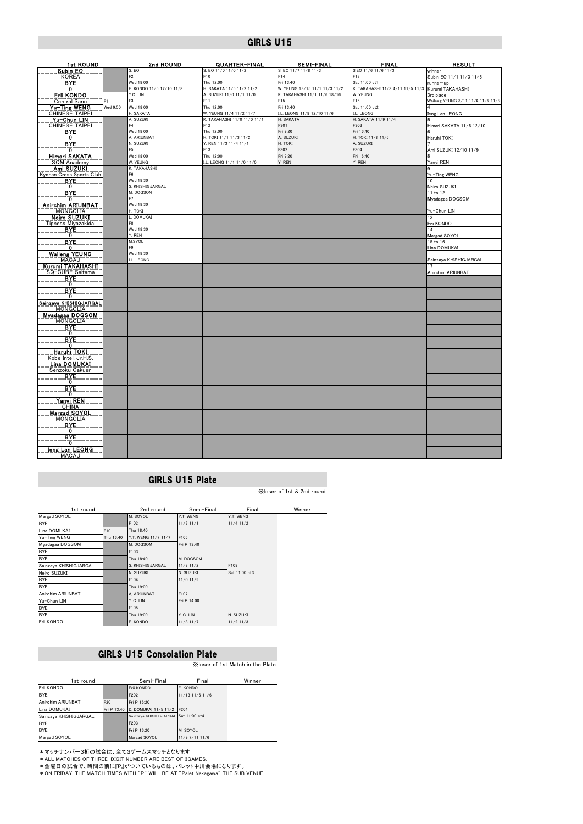| <b>1st ROUND</b>                     |                | 2nd ROUND                | QUARTER-FINAL                                          | <b>SEMI-FINAL</b>                       | <b>FINAL</b>                      | <b>RESULT</b>                     |
|--------------------------------------|----------------|--------------------------|--------------------------------------------------------|-----------------------------------------|-----------------------------------|-----------------------------------|
| Subin EO                             |                | S. EO                    | S. EO 11/0 11/0 11/2                                   | S. EO 11/7 11/8 11/3                    | S.EO 11/6 11/6 11/3               | winner                            |
| <b>KOREA</b>                         |                | F <sub>2</sub>           | F10                                                    | F14                                     | F17                               | Subin EO 11/1 11/3 11/6           |
| <b>BYE</b>                           |                | Wed 18:00                | Thu 12:00                                              | Fri 13:40                               | Sat 11:00 ct1                     | unner-up                          |
| $\overline{0}$                       |                | E. KONDO 11/5 12/10 11/8 | H. SAKATA 11/5 11/2 11/2                               | W. YEUNG 13/15 11/1 11/3 11/2           | K. TAKAHASHI 11/3 4/11 11/5 11/3  | Kurumi TAKAHASHI                  |
| Erii KONDO                           |                | Y.C. LIN                 | A. SUZUKI 11/0 11/1 11/0                               | K. TAKAHASHI 11/1 11/6 18/16            | W. YEUNG                          | 3rd place                         |
| Central Sano                         | F <sub>1</sub> | F <sub>3</sub>           | F11                                                    | F15                                     | F16                               | Waileng YEUNG 3/11 11/6 11/8 11/8 |
| Yu-Ting WENG                         | Wed 9:50       | Wed 18:00                | Thu 12:00                                              | Fri 13:40                               | Sat 11:00 ct2                     |                                   |
| <b>CHINESE TAIPEI</b>                |                | H. SAKATA<br>A. SUZUKI   | W. YEUNG 11/4 11/2 11/7<br>K. TAKAHASHI 11/0 11/0 11/1 | I.L. LEONG 11/8 12/10 11/6<br>H. SAKATA | I.L. LEONG<br>H. SAKATA 11/9 11/4 | leng Lan LEONG                    |
| Yu-Chun LIN<br><b>CHINESE TAIPEI</b> |                | F4                       | F12                                                    | F301                                    | F303                              |                                   |
| BYE                                  |                | Wed 18:00                | Thu 12:00                                              | Fri 9:20                                | Fri 16:40                         | Himari SAKATA 11/6 12/10          |
| 0                                    |                | A. ARIUNBAT              | H. TOKI 11/1 11/3 11/2                                 | A. SUZUKI                               | H. TOKI 11/8 11/6                 | Haruhi TOKI                       |
| <b>BYE</b>                           |                | N. SUZUKI                | Y. REN 11/3 11/4 11/1                                  | H. TOKI                                 | A. SUZUKI                         |                                   |
| $\mathbf{0}$                         |                | F <sub>5</sub>           | F13                                                    | F302                                    | F304                              | Ami SUZUKI 12/10 11/9             |
| Himari SAKATA                        |                | Wed 18:00                | Thu 12:00                                              | Fri 9:20                                | Fri 16:40                         |                                   |
| SQM Academy                          |                | W. YEUNG                 | I.L. LEONG 11/1 11/0 11/0                              | Y. REN                                  | Y. REN                            | Yanyi REN                         |
| Ami SUZUKI                           |                | K. TAKAHASHI             |                                                        |                                         |                                   |                                   |
| Kyonan Cross Sports Club             |                | F <sub>6</sub>           |                                                        |                                         |                                   | Yu-Ting WENG                      |
| <b>B</b> YE                          |                | Wed 18:30                |                                                        |                                         |                                   | 10                                |
| $\Omega$                             |                | S. KHISHIGJARGAL         |                                                        |                                         |                                   | Neiro SUZUKI                      |
| <b>BYE</b>                           |                | M. DOGSON                |                                                        |                                         |                                   | 11 to 12                          |
| $\Omega$                             |                | F7                       |                                                        |                                         |                                   | Myadagaa DOGSOM                   |
| <b>Anirchim ARIUNBAT</b>             |                | Wed 18:30                |                                                        |                                         |                                   |                                   |
| MONGOLIA                             |                | H. TOKI<br>L. DOMUKAI    |                                                        |                                         |                                   | Yu-Chun LIN                       |
| <b>Neiro SUZUKI</b>                  |                | F8                       |                                                        |                                         |                                   | 13                                |
| Tipness Miyazakidai<br>BYE           |                | Wed 18:30                |                                                        |                                         |                                   | Erii KONDO<br>14                  |
| $\mathbf{0}$                         |                | Y. REN                   |                                                        |                                         |                                   | Margad SOYOL                      |
| BYE                                  |                | M.SYOL                   |                                                        |                                         |                                   | 15 to 16                          |
| 0                                    |                | F9                       |                                                        |                                         |                                   | Lina DOMUKAI                      |
| <b>Wailong YEUNG</b>                 |                | Wed 18:30                |                                                        |                                         |                                   |                                   |
| <b>MACAU</b>                         |                | I.L. LEONG               |                                                        |                                         |                                   | Sainzaya KHISHIGJARGAL            |
| Kurumi TAKAHASHI                     |                |                          |                                                        |                                         |                                   | 17                                |
| SQ-CUBE Saitama                      |                |                          |                                                        |                                         |                                   | Anirchim ARIUNBAT                 |
| <b>BYE</b>                           |                |                          |                                                        |                                         |                                   |                                   |
| 0                                    |                |                          |                                                        |                                         |                                   |                                   |
| BYE                                  |                |                          |                                                        |                                         |                                   |                                   |
| 0                                    |                |                          |                                                        |                                         |                                   |                                   |
| Sainzaya KHISHIGJARGAL               |                |                          |                                                        |                                         |                                   |                                   |
| <b>MONGOLIA</b><br>Myadagaa DOGSOM   |                |                          |                                                        |                                         |                                   |                                   |
| <b>MONGOLIA</b>                      |                |                          |                                                        |                                         |                                   |                                   |
| <b>BYE</b>                           |                |                          |                                                        |                                         |                                   |                                   |
| $\overline{0}$                       |                |                          |                                                        |                                         |                                   |                                   |
| <b>BYE</b>                           |                |                          |                                                        |                                         |                                   |                                   |
| 0                                    |                |                          |                                                        |                                         |                                   |                                   |
| <b>Haruhi TOKI</b>                   |                |                          |                                                        |                                         |                                   |                                   |
| Kobe Intel. Jr.H.S.                  |                |                          |                                                        |                                         |                                   |                                   |
| <b>Lina DOMUKAI</b>                  |                |                          |                                                        |                                         |                                   |                                   |
| Senzoku Gakuen<br>BYE.               |                |                          |                                                        |                                         |                                   |                                   |
| 0                                    |                |                          |                                                        |                                         |                                   |                                   |
| <b>BYE</b>                           |                |                          |                                                        |                                         |                                   |                                   |
| $\mathbf{0}$                         |                |                          |                                                        |                                         |                                   |                                   |
| Yanyi REN                            |                |                          |                                                        |                                         |                                   |                                   |
| CHINA                                |                |                          |                                                        |                                         |                                   |                                   |
| <b>Margad SOYOL</b>                  |                |                          |                                                        |                                         |                                   |                                   |
| MONGOLIA                             |                |                          |                                                        |                                         |                                   |                                   |
| <b>BYE</b>                           |                |                          |                                                        |                                         |                                   |                                   |
| 0                                    |                |                          |                                                        |                                         |                                   |                                   |
| BYE<br>$\Omega$                      |                |                          |                                                        |                                         |                                   |                                   |
| <b>Ieng Lan LEONG</b>                |                |                          |                                                        |                                         |                                   |                                   |
| MACAU                                |                |                          |                                                        |                                         |                                   |                                   |

### GIRLS U15 Plate

#### ※loser of 1st & 2nd round

| 1st round              |           | 2nd round           | Semi-Final    | Final         | Winner |
|------------------------|-----------|---------------------|---------------|---------------|--------|
| Margad SOYOL           |           | M. SOYOL            | Y.T. WENG     | Y.T. WENG     |        |
| <b>BYE</b>             |           | F102                | $11/3$ $11/1$ | $11/4$ 11/2   |        |
| Lina DOMUKAI           | F101      | Thu 18:40           |               |               |        |
| Yu-Ting WENG           | Thu 16:40 | Y.T. WENG 11/7 11/7 | F106          |               |        |
| Myadagaa DOGSOM        |           | M. DOGSOM           | Fri P 13:40   |               |        |
| <b>BYE</b>             |           | F103                |               |               |        |
| <b>BYE</b>             |           | Thu 18:40           | M. DOGSOM     |               |        |
| Sainzaya KHISHIGJARGAL |           | S. KHISHIGJARGAL    | $11/8$ 11/2   | F108          |        |
| Neiro SUZUKI           |           | N. SUZUKI           | N. SUZUKI     | Sat 11:00 ct3 |        |
| <b>BYE</b>             |           | F104                | $11/0$ 11/2   |               |        |
| <b>BYE</b>             |           | Thu 19:00           |               |               |        |
| Anirchim ARIUNBAT      |           | A. ARIUNBAT         | F107          |               |        |
| Yu-Chun LIN            |           | Y.C. LIN            | Fri P 14:00   |               |        |
| <b>BYE</b>             |           | F105                |               |               |        |
| <b>BYE</b>             |           | Thu 19:00           | Y.C. LIN      | N. SUZUKI     |        |
| Erii KONDO             |           | E. KONDO            | $11/8$ 11/7   | $11/2$ 11/3   |        |

### GIRLS U15 Consolation Plate

※loser of 1st Match in the Plate

| 1st round              |             | Semi-Final                           | Final                 | Winner |
|------------------------|-------------|--------------------------------------|-----------------------|--------|
| Erii KONDO             |             | Erii KONDO                           | E. KONDO              |        |
| <b>BYE</b>             |             | F202                                 | $11/13$ $11/6$ $11/6$ |        |
| Anirchim ARIUNBAT      | F201        | Fri P 16:20                          |                       |        |
| Lina DOMUKAI           | Fri P 13:40 | D. DOMUKAI 11/5 11/2 F204            |                       |        |
| Sainzava KHISHIGJARGAL |             | Sainzava KHISHIGJARGAL Sat 11:00 ct4 |                       |        |
| <b>BYE</b>             |             | F203                                 |                       |        |
| <b>BYE</b>             |             | Fri P 16:20                          | M. SOYOL              |        |
| Margad SOYOL           |             | Margad SOYOL                         | 11/9 7/11 11/6        |        |

\*マッチナンバー3桁の試合は、全て3ゲームスマッチとなります \*ALL MATCHES OF THREE-DIGIT NUMBER ARE BEST OF 3GAMES.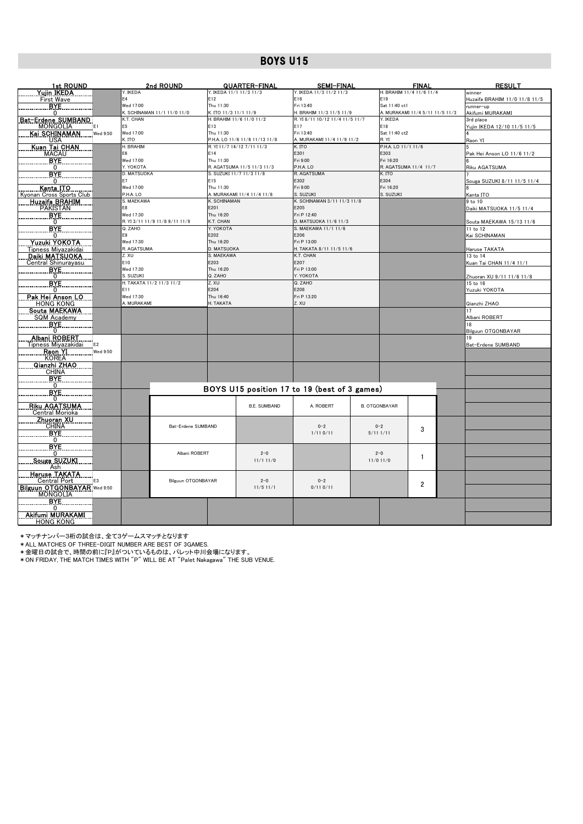| <b>1st ROUND</b>                      |                          | 2nd ROUND                      |                          | <u>QUARTER-FINAL</u>                                         | <b>SEMI-FINAL</b>                            |                              | <u>FINAL</u>                    | <b>RESULT</b>                         |
|---------------------------------------|--------------------------|--------------------------------|--------------------------|--------------------------------------------------------------|----------------------------------------------|------------------------------|---------------------------------|---------------------------------------|
| <u>Yujin IKEDA</u>                    | Y. IKEDA                 |                                | Y. IKEDA 11/1 11/3 11/3  |                                                              | Y. IKEDA 11/3 11/2 11/3                      |                              | H. BRAHIM 11/4 11/6 11/4        | winner                                |
| First Wave                            | E4<br>Wed 17:00          |                                | E12<br>Thu 11:30         |                                                              | E16<br>Fri 13:40                             | E19<br>Sat 11:40 ct1         |                                 | Huzaifa BRAHIM 11/0 11/8 11/5         |
| <b>BYE</b><br>n                       |                          | K. SCHINAMAN 11/1 11/0 11/0    | K. ITO 11/3 11/1 11/9    |                                                              | H. BRAHIM 11/3 11/5 11/9                     |                              | A. MURAKAMI 11/4 5/11 11/5 11/3 | runner-up<br>Akifumi MURAKAMI         |
| <u> Bat-Erdene SUMBAND</u>            | K.T. CHAN                |                                |                          | H. BRAHIM 11/6 11/0 11/2                                     | R. YI 8/11 10/12 11/4 11/5 11/7              | Y. IKEDA                     |                                 | 3rd place                             |
| <b>MONGOLIA</b><br>E <sub>1</sub>     | F <sub>5</sub>           |                                | E13                      |                                                              | E17                                          | E18                          |                                 | Yujin IKEDA 12/10 11/5 11/5           |
| Kai SCHINAMAN<br>Wed 9:50             | Wed 17:00                |                                | Thu 11:30                |                                                              | Fri 13:40                                    | Sat 11:40 ct2                |                                 |                                       |
| <b>USA</b>                            | K. ITO<br>H. BRAHIM      |                                |                          | P.H.A. LO 11/6 11/6 11/13 11/8<br>R. YI 11/7 14/12 7/11 11/3 | A. MURAKAMI 11/4 11/9 11/2<br>K. ITO         | R. YI<br>P.H.A. LO 11/1 11/6 |                                 | Raon YI                               |
| Kuan Tai CHAN<br><b>MACAU</b>         | E6                       |                                | E14                      |                                                              | E301                                         | E303                         |                                 | Pak Hei Anson LO 11/6 11/2            |
| <b>BYE</b>                            | Wed 17:00                |                                | Thu 11:30                |                                                              | Fri 9:00                                     | Fri 16:20                    |                                 |                                       |
| $\Omega$                              | Y. YOKOTA                |                                |                          | R. AGATSUMA 11/5 11/3 11/3                                   | P.H.A. LO                                    | R. AGATSUMA 11/4 11/7        |                                 | Riku AGATSUMA                         |
| <b>BYE</b>                            | <b>D. MATSUOKA</b>       |                                | S. SUZUKI 11/7 11/3 11/8 |                                                              | R. AGATSUMA                                  | K. ITO                       |                                 |                                       |
| 0                                     | E7                       |                                | E15                      |                                                              | E302                                         | E304                         |                                 | Souga SUZUKI 8/11 11/5 11/4           |
| Kanta ITO<br>Kyonan Cross Sports Club | Wed 17:00<br>P.H.A. LO   |                                | Thu 11:30                | A. MURAKAMI 11/4 11/4 11/8                                   | Fri 9:00<br>S. SUZUKI                        | Fri 16:20<br>S. SUZUKI       |                                 | Kanta ITO                             |
| <b>Huzaifa BRAHIM</b>                 | S. MAEKAWA               |                                | K. SCHINAMAN             |                                                              | K. SCHINAMAN 3/11 11/3 11/8                  |                              |                                 | 9 to 10                               |
| PAKISTAN                              | E8                       |                                | E201                     |                                                              | E205                                         |                              |                                 | Daiki MATSUOKA 11/5 11/4              |
| BYE.                                  | Wed 17:30                |                                | Thu 16:20                |                                                              | Fri P 12:40                                  |                              |                                 |                                       |
| $\mathbf{0}$                          |                          | R. YI 3/11 11/9 11/8 9/11 11/9 | K.T. CHAN                |                                                              | D. MATSUOKA 11/6 11/3                        |                              |                                 | Souta MAEKAWA 15/13 11/6              |
| BYE<br>$\Omega$                       | Q. ZAHO<br>E9            |                                | Y. YOKOTA<br>E202        |                                                              | S. MAEKAWA 11/1 11/6<br>E206                 |                              |                                 | 11 to 12<br>Kai SCHINAMAN             |
| Yuzuki YOKOTA                         | Wed 17:30                |                                | Thu 16:20                |                                                              | Fri P 13:00                                  |                              |                                 |                                       |
| Tipness Miyazakidai                   | R. AGATSUMA              |                                | D. MATSUOKA              |                                                              | H. TAKATA 8/11 11/5 11/6                     |                              |                                 | Haruse TAKATA                         |
| Daiki MATSUOKA                        | Z. XU                    |                                | S. MAEKAWA               |                                                              | K.T. CHAN                                    |                              |                                 | 13 to 14                              |
| Central Shinurayasu                   | E10                      |                                | E203                     |                                                              | E207                                         |                              |                                 | Kuan Tai CHAN 11/4 11/1               |
| <b>BYE</b>                            | Wed 17:30<br>S. SUZUKI   |                                | Thu 16:20<br>Q. ZAHO     |                                                              | Fri P 13:00<br>Y. YOKOTA                     |                              |                                 |                                       |
| 0<br><b>BYE</b>                       | H. TAKATA 11/2 11/3 11/2 |                                | Z. XU                    |                                                              | Q. ZAHO                                      |                              |                                 | Zhuoran XU 9/11 11/6 11/8<br>15 to 16 |
| 0                                     | E11                      |                                | E204                     |                                                              | E208                                         |                              |                                 | Yuzuki YOKOTA                         |
| Pak Hei Anson LO                      | Wed 17:30                |                                | Thu 16:40                |                                                              | Fri P 13:20                                  |                              |                                 |                                       |
| <b>HONG KONG</b>                      | A. MURAKAMI              |                                | H. TAKATA                |                                                              | Z. XU                                        |                              |                                 | Qianzhi ZHAO                          |
| Souta MAEKAWA<br>SQM Academy          |                          |                                |                          |                                                              |                                              |                              |                                 | 17                                    |
| <b>BYE</b>                            |                          |                                |                          |                                                              |                                              |                              |                                 | Albani ROBERT<br>18                   |
| 0                                     |                          |                                |                          |                                                              |                                              |                              |                                 | Bilguun OTGONBAYAR                    |
| <b>Albani ROBERT</b>                  |                          |                                |                          |                                                              |                                              |                              |                                 |                                       |
| Tipness Miyazakidai<br>E2             |                          |                                |                          |                                                              |                                              |                              |                                 | Bat-Erdene SUMBAND                    |
| Raon YI<br>Wed 9:50<br><b>KOREA</b>   |                          |                                |                          |                                                              |                                              |                              |                                 |                                       |
| Qianzhi ZHAO                          |                          |                                |                          |                                                              |                                              |                              |                                 |                                       |
| <b>CHINA</b>                          |                          |                                |                          |                                                              |                                              |                              |                                 |                                       |
| <b>BYE</b>                            |                          |                                |                          |                                                              |                                              |                              |                                 |                                       |
| 0                                     |                          |                                |                          |                                                              | BOYS U15 position 17 to 19 (best of 3 games) |                              |                                 |                                       |
| <b>BYE</b><br>$\mathbf{0}$            |                          |                                |                          |                                                              |                                              |                              |                                 |                                       |
| <b>Riku AGATSUMA</b>                  |                          |                                |                          | <b>B.E. SUMBAND</b>                                          | A. ROBERT                                    | <b>B. OTGONBAYAR</b>         |                                 |                                       |
| Central Morioka                       |                          |                                |                          |                                                              |                                              |                              |                                 |                                       |
| <u>Zhuoran XU.</u><br>CHINA           |                          |                                |                          |                                                              |                                              |                              |                                 |                                       |
| <b>BYE</b>                            |                          | Bat-Erdene SUMBAND             |                          |                                                              | $0 - 2$<br>1/110/11                          | $0 - 2$<br>5/111/11          | 3                               |                                       |
| 0                                     |                          |                                |                          |                                                              |                                              |                              |                                 |                                       |
| <b>BYE</b>                            |                          |                                |                          |                                                              |                                              |                              |                                 |                                       |
| 0                                     |                          | Albani ROBERT                  |                          | $2 - 0$                                                      |                                              | $2 - 0$                      | 1                               |                                       |
| Souga SUZUKI                          |                          |                                |                          | 11/111/0                                                     |                                              | $11/0$ 11/0                  |                                 |                                       |
| Ash<br><u>Haruse TAKATA</u>           |                          |                                |                          |                                                              |                                              |                              |                                 |                                       |
| Central Port<br>F3                    |                          | Bilguun OTGONBAYAR             |                          | $2 - 0$                                                      | $0 - 2$                                      |                              |                                 |                                       |
| Bilguun OTGONBAYAR Wed 9:50           |                          |                                |                          | $11/5$ 11/1                                                  | $0/11$ 0/11                                  |                              | $\overline{2}$                  |                                       |
| <b>MONGOLIA</b>                       |                          |                                |                          |                                                              |                                              |                              |                                 |                                       |
| BYE.<br><sup>0</sup>                  |                          |                                |                          |                                                              |                                              |                              |                                 |                                       |
| Akifumi MURAKAMI                      |                          |                                |                          |                                                              |                                              |                              |                                 |                                       |
| <b>HONG KONG</b>                      |                          |                                |                          |                                                              |                                              |                              |                                 |                                       |

\*マッチナンバー3桁の試合は、全て3ゲームスマッチとなります \*ALL MATCHES OF THREE-DIGIT NUMBER ARE BEST OF 3GAMES.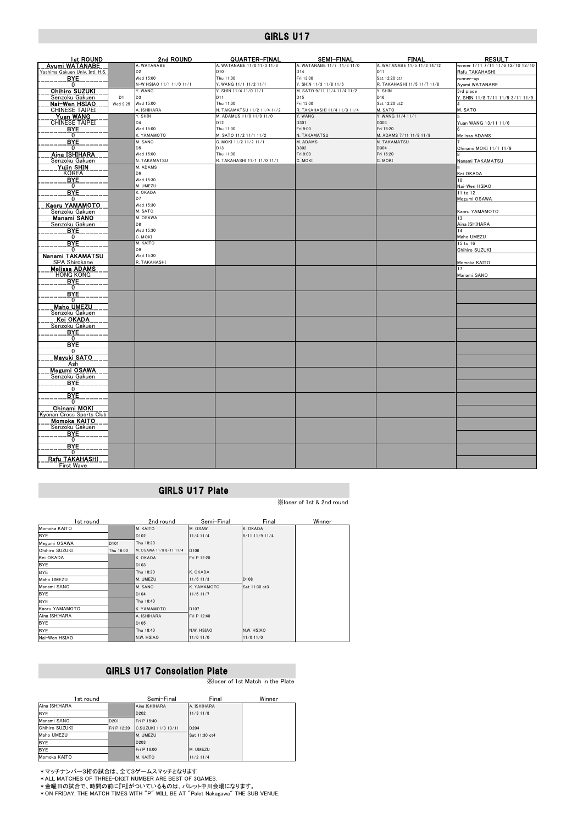| 1st ROUND                                 |                | 2nd ROUND                             | QUARTER-FINAL                       | <b>SEMI-FINAL</b>                   | <b>FINAL</b>                                 | <b>RESULT</b>                     |
|-------------------------------------------|----------------|---------------------------------------|-------------------------------------|-------------------------------------|----------------------------------------------|-----------------------------------|
| Ayumi WATANABE                            |                | A. WATANABE                           | A. WATANABE 11/0 11/3 11/6          | A. WATANABE 11/7 11/3 11/0          | A. WATANABE 11/5 11/3 14/12                  | winner 1/11 7/11 11/6 12/10 12/10 |
| Yashima Gakuen Univ. Intl. H.S.           |                | D <sub>2</sub>                        | D <sub>10</sub>                     | D <sub>14</sub>                     | D <sub>17</sub>                              | Rafu TAKAHASHI                    |
| <b>BYE</b><br>0                           |                | Wed 15:00<br>N-W HSIAO 11/1 11/0 11/1 | Thu 11:00<br>Y. WANG 11/1 11/2 11/1 | Fri 13:00<br>Y. SHIN 11/3 11/8 11/6 | Sat 12:20 ct1<br>R. TAKAHASHI 11/5 11/7 11/8 | runner-up<br>Ayumi WATANABE       |
| <b>Chihiro SUZUKI</b>                     |                | Y. WANG                               | Y. SHIN 11/4 11/0 11/1              | M. SATO 9/11 11/4 11/4 11/2         | Y. SHIN                                      | 3rd place                         |
| Senzoku Gakuen                            | D <sub>1</sub> | D <sub>3</sub>                        | D11                                 | D <sub>15</sub>                     | D16                                          | Y. SHIN 11/8 7/11 11/9 3/11 11/9  |
| Nai-Wen HSIAO                             | Wed 9:25       | Wed 15:00                             | Thu 11:00                           | Fri 13:00                           | Sat 12:20 ct2                                |                                   |
| <b>CHINESE TAIPEI</b>                     |                | A. ISHIHARA                           | N. TAKAMATSU 11/2 11/4 11/2         | R. TAKAHASHI 11/4 11/3 11/4         | M. SATO                                      | M. SATO                           |
| <b>Yuan WANG</b><br><b>CHINESE TAIPEI</b> |                | Y. SHIN<br>D <sub>4</sub>             | M. ADAMUS 11/0 11/0 11/0<br>D12     | Y. WANG<br>D301                     | Y. WANG 11/4 11/1<br>D303                    |                                   |
| <b>BYE</b>                                |                | Wed 15:00                             | Thu 11:00                           | Fri 9:00                            | Fri 16:20                                    | uan WANG 13/11 11/6               |
| 0                                         |                | K. YAMAMOTO                           | M. SATO 11/2 11/1 11/2              | N. TAKAMATSU                        | M. ADAMS 7/11 11/9 11/9                      | Melissa ADAMS                     |
| <b>BYE</b>                                |                | M. SANO                               | C. MOKI 11/2 11/2 11/1              | M. ADAMS                            | N. TAKAMATSU                                 |                                   |
| 0                                         |                | D <sub>5</sub>                        | D13                                 | D302                                | D304                                         | Chinami MOKI 11/1 11/9            |
| Aina ISHIHARA                             |                | Wed 15:00                             | Thu 11:00                           | Fri 9:00                            | Fri 16:20                                    |                                   |
| Senzoku Gakuen<br>Yujin SHIN              |                | N. TAKAMATSU<br>M. ADAMS              | R. TAKAHASHI 11/1 11/0 11/1         | C. MOKI                             | C. MOKI                                      | Nanami TAKAMATSU                  |
| <b>KOREA</b>                              |                | D <sub>6</sub>                        |                                     |                                     |                                              | Kei OKADA                         |
| <b>BYE</b>                                |                | Wed 15:30                             |                                     |                                     |                                              | 10 <sup>10</sup>                  |
| $\mathbf{0}$                              |                | M. UMEZU                              |                                     |                                     |                                              | Nai-Wen HSIAO                     |
| <b>BYE</b>                                |                | K. OKADA                              |                                     |                                     |                                              | 11 to 12                          |
| $\mathbf{0}$<br>Kaoru YAMAMOTO            |                | D7<br>Wed 15:30                       |                                     |                                     |                                              | Megumi OSAWA                      |
| Senzoku Gakuen                            |                | M. SATO                               |                                     |                                     |                                              | Kaoru YAMAMOTO                    |
| Manami SANO                               |                | M. OSAWA                              |                                     |                                     |                                              | 13                                |
| Senzoku Gakuen                            |                | D8                                    |                                     |                                     |                                              | Aina ISHIHARA                     |
| BYE.                                      |                | Wed 15:30                             |                                     |                                     |                                              | 14                                |
| 0<br><b>BYE</b>                           |                | C. MOKI<br>M. KAITO                   |                                     |                                     |                                              | Maho UMEZU<br>15 to 16            |
| $^{\circ}$                                |                | D <sub>9</sub>                        |                                     |                                     |                                              | Chihiro SUZUKI                    |
| Nanami TAKAMATSU                          |                | Wed 15:30                             |                                     |                                     |                                              |                                   |
| SPA Shirokane                             |                | R. TAKAHASHI                          |                                     |                                     |                                              | Momoka KAITO                      |
| <b>Melissa ADAMS</b>                      |                |                                       |                                     |                                     |                                              | 17                                |
| <b>HONG KONG</b><br><b>BYE</b>            |                |                                       |                                     |                                     |                                              | Manami SANO                       |
| Ő                                         |                |                                       |                                     |                                     |                                              |                                   |
| <b>BYE</b>                                |                |                                       |                                     |                                     |                                              |                                   |
| 0                                         |                |                                       |                                     |                                     |                                              |                                   |
| <b>Maho UMEZU</b>                         |                |                                       |                                     |                                     |                                              |                                   |
| Senzoku Gakuen<br>Kei OKADA               |                |                                       |                                     |                                     |                                              |                                   |
| Senzoku Gakuen                            |                |                                       |                                     |                                     |                                              |                                   |
| <b>BYE</b>                                |                |                                       |                                     |                                     |                                              |                                   |
| 0                                         |                |                                       |                                     |                                     |                                              |                                   |
| <b>BYE</b><br>0                           |                |                                       |                                     |                                     |                                              |                                   |
| Mayuki SATO                               |                |                                       |                                     |                                     |                                              |                                   |
| Ash                                       |                |                                       |                                     |                                     |                                              |                                   |
| <b>Megumi OSAWA</b>                       |                |                                       |                                     |                                     |                                              |                                   |
| Senzoku Gakuen                            |                |                                       |                                     |                                     |                                              |                                   |
| <b>B</b> <sub>N</sub> E<br>$\mathbf{0}$   |                |                                       |                                     |                                     |                                              |                                   |
| <b>BYE</b>                                |                |                                       |                                     |                                     |                                              |                                   |
| $\mathbf{0}$                              |                |                                       |                                     |                                     |                                              |                                   |
| Chinami MOKI                              |                |                                       |                                     |                                     |                                              |                                   |
| Kyonan Cross Sports Club                  |                |                                       |                                     |                                     |                                              |                                   |
| <b>Momoka KAITO</b><br>Senzoku Gakuen     |                |                                       |                                     |                                     |                                              |                                   |
| <b>BYE</b>                                |                |                                       |                                     |                                     |                                              |                                   |
| $\mathbf{0}$                              |                |                                       |                                     |                                     |                                              |                                   |
| <b>BYE</b>                                |                |                                       |                                     |                                     |                                              |                                   |
| $\Omega$                                  |                |                                       |                                     |                                     |                                              |                                   |
| Rafu TAKAHASHI<br>First Wave              |                |                                       |                                     |                                     |                                              |                                   |

## GIRLS U17 Plate

※loser of 1st & 2nd round

| 1st round      |                  | 2nd round               | Semi-Final       | Final            | Winner |
|----------------|------------------|-------------------------|------------------|------------------|--------|
| Momoka KAITO   |                  | M. KAITO                | M. OSAW          | K. OKADA         |        |
| BYE            |                  | D <sub>102</sub>        | $11/4$ 11/4      | 8/11 11/9 11/4   |        |
| Megumi OSAWA   | D <sub>101</sub> | Thu 18:20               |                  |                  |        |
| Chihiro SUZUKI | Thu 16:00        | M. OSAWA 11/8 8/11 11/4 | D106             |                  |        |
| Kei OKADA      |                  | K. OKADA                | Fri P 12:20      |                  |        |
| <b>BYE</b>     |                  | D <sub>103</sub>        |                  |                  |        |
| <b>BYE</b>     |                  | Thu 18:20               | K. OKADA         |                  |        |
| Maho UMEZU     |                  | M. UMEZU                | $11/6$ 11/3      | D <sub>108</sub> |        |
| Manami SANO    |                  | M. SANO                 | K. YAMAMOTO      | Sat 11:30 ct3    |        |
| <b>BYE</b>     |                  | D104                    | $11/6$ 11/7      |                  |        |
| <b>BYE</b>     |                  | Thu 18:40               |                  |                  |        |
| Kaoru YAMAMOTO |                  | K. YAMAMOTO             | D <sub>107</sub> |                  |        |
| Aina ISHIHARA  |                  | A. ISHIHARA             | Fri P 12:40      |                  |        |
| <b>BYE</b>     |                  | D <sub>105</sub>        |                  |                  |        |
| <b>BYE</b>     |                  | Thu 18:40               | N.W. HSIAO       | N.W. HSIAO       |        |
| Nai-Wen HSIAO  |                  | N.W. HSIAO              | $11/0$ 11/0      | $11/0$ 11/0      |        |

### GIRLS U17 Consolation Plate

※loser of 1st Match in the Plate

| 1st round      |             | Semi-Final          | Final         | Winner |
|----------------|-------------|---------------------|---------------|--------|
| Aina ISHIHARA  |             | Aina ISHIHARA       | A. ISHIHARA   |        |
| <b>BYE</b>     |             | D202                | $11/3$ 11/8   |        |
| Manami SANO    | D201        | Fri P 15:40         |               |        |
| Chihiro SUZUKI | Fri P 12:20 | C.SUZUKI 11/3 13/11 | D204          |        |
| Maho UMEZU     |             | M. UMEZU            | Sat 11:30 ct4 |        |
| <b>BYE</b>     |             | D203                |               |        |
| <b>BYE</b>     |             | Fri P 16:00         | M. UMEZU      |        |
| Momoka KAITO   |             | M. KAITO            | $11/2$ 11/4   |        |

\*マッチナンバー3桁の試合は、全て3ゲームスマッチとなります \*ALL MATCHES OF THREE-DIGIT NUMBER ARE BEST OF 3GAMES.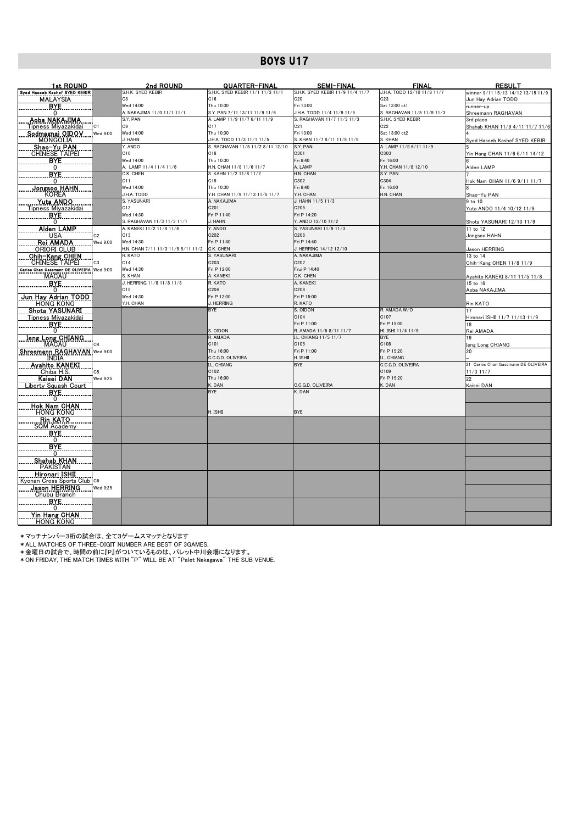| 1st ROUND                                                                            | 2nd ROUND                          | <u>QUARTER-FINAL</u>                        | <b>SEMI-FINAL</b>                                | <b>FINAL</b>                         | <b>RESULT</b>                                |
|--------------------------------------------------------------------------------------|------------------------------------|---------------------------------------------|--------------------------------------------------|--------------------------------------|----------------------------------------------|
| Syed Haseeb Kashef SYED KEBIR                                                        | S.H.K. SYED KEBIR                  | S.H.K. SYED KEBIR 11/1 11/3 11/1            | S.H.K. SYED KEBIR 11/9 11/4 11/7                 | J.H.A. TODD 12/10 11/8 11/7          | winner 9/11 15/13 14/12 13/15 11/9           |
| <b>MALAYSIA</b>                                                                      | C8                                 | C16                                         | C20                                              | C <sub>23</sub>                      | Jun Hay Adrian TODD                          |
| BYE.                                                                                 | Wed 14:00                          | Thu 10:30                                   | Fri 13:00                                        | Sat 13:00 ct1                        | runner-up                                    |
| 0                                                                                    | A. NAKAJIMA 11/0 11/1 11/1         | S.Y. PAN 7/11 13/11 11/9 11/6               | J.H.A. TODD 11/4 11/9 11/5                       | S. RAGHAVAN 11/5 11/9 11/3           | Shreemann RAGHAVAN                           |
| Aoba NAKAJIMA<br> C1                                                                 | S.Y. PAN<br>C <sub>9</sub>         | A. LAMP 11/9 11/7 6/11 11/9<br>C17          | S. RAGHAVAN 11/7 11/3 11/3<br>C <sub>21</sub>    | S.H.K. SYED KEBIR<br>C <sub>22</sub> | 3rd place<br>Shahab KHAN 11/9 4/11 11/7 11/6 |
| Tipness Miyazakidai<br>Sodmagnai OIDOV<br><b>Wed 9:00</b>                            | Wed 14:00                          | Thu 10:30                                   | Fri 13:00                                        | Sat 13:00 ct2                        |                                              |
| <b>MONGOLIA</b>                                                                      | J. HAHN                            | J.H.A. TODD 11/3 11/1 11/5                  | S. KHAN 11/7 8/11 11/5 11/9                      | S. KHAN                              | Syed Haseeb Kashef SYED KEBIR                |
|                                                                                      | Y. ANDO                            | S. RAGHAVAN 11/5 11/2 8/11 12/10            | S.Y. PAN                                         | A. LAMP 11/9 6/11 11/9               |                                              |
| Shao-Yu PAN<br>CHINESE TAIPEI                                                        | C <sub>10</sub>                    | C18                                         | C301                                             | C303                                 | Yin Hang CHAN 11/6 6/11 14/12                |
| BYE                                                                                  | Wed 14:00                          | Thu 10:30                                   | Fri 8:40                                         | Fri 16:00                            |                                              |
| $\mathbf{0}$                                                                         | A. LAMP 11/4 11/4 11/6             | H.N. CHAN 11/8 11/6 11/7                    | A. LAMP                                          | Y.H. CHAN 11/8 12/10                 | Alden LAMP                                   |
| <b>BYE</b>                                                                           | C.K. CHEN                          | S. KAHN 11/2 11/8 11/2                      | H.N. CHAN                                        | S.Y. PAN                             |                                              |
| 0                                                                                    | C11                                | C19                                         | C302                                             | C304                                 | Hok Nam CHAN 11/6 9/11 11/7                  |
| <u>Jongsoo HAHN</u><br><b>KOREA</b>                                                  | Wed 14:00<br>J.H.A. TODD           | Thu 10:30<br>Y.H. CHAN 11/9 11/13 11/5 11/7 | Fri 8:40<br>Y.H. CHAN                            | Fri 16:00<br>H.N. CHAN               |                                              |
| <b>Yuta ANDO</b>                                                                     | S. YASUNARI                        | A. NAKAJIMA                                 | J. HAHN 11/5 11/3                                |                                      | Shao-Yu PAN<br>9 to 10                       |
| Tipness Miyazakidai                                                                  | C12                                | C201                                        | C205                                             |                                      | Yuta ANDO 11/4 10/12 11/9                    |
| BYE.                                                                                 | Wed 14:30                          | Fri P 11:40                                 | Fri P 14:20                                      |                                      |                                              |
| 0                                                                                    | S. RAGHAVAN 11/3 11/3 11/1         | J. HAHN                                     | Y. ANDO 12/10 11/2                               |                                      | Shota YASUNARI 12/10 11/9                    |
| <u>Alden LAMP</u>                                                                    | A. KANEKI 11/2 11/4 11/4           | Y. ANDO                                     | S. YASUNARI 11/9 11/3                            |                                      | 11 to 12                                     |
| <b>USA</b><br>C <sub>2</sub>                                                         | C13                                | C202                                        | C206                                             |                                      | Jongsoo HAHN                                 |
| Rei AMADA<br>Wed 9:00                                                                | Wed 14:30                          | Fri P 11:40                                 | Fri P 14:40                                      |                                      |                                              |
| <b>ORIORI CLUB</b>                                                                   | H.N. CHAN 7/11 11/3 11/5 5/11 11/2 | C.K. CHEN                                   | J. HERRING 14/12 12/10                           |                                      | Jason HERRING                                |
| <b>Chih-Kang CHEN</b>                                                                | R. KATO                            | S. YASUNARI<br>C203                         | A. NAKAJIMA<br>C207                              |                                      | 13 to 14                                     |
| <b>CHINESE TAIPEI</b><br>C <sub>3</sub><br>Carlos Chan Gassmann DE OLIVEIRA Wed 9:00 | C14<br>Wed 14:30                   | Fri P 12:00                                 | Frui P 14:40                                     |                                      | Chih-Kang CHEN 11/8 11/9                     |
| <b>MACAU</b>                                                                         | S. KHAN                            | A. KANEKI                                   | C.K. CHEN                                        |                                      | Ayahito KANEKI 8/11 11/5 11/8                |
| <b>BYE</b>                                                                           | J. HERRING 11/8 11/8 11/8          | R. KATO                                     | A. KANEKI                                        |                                      | 15 to 16                                     |
| 0                                                                                    | C15                                | C204                                        | C208                                             |                                      | Aoba NAKAJIMA                                |
| Jun Hay Adrian TODD                                                                  | Wed 14:30                          | Fri P 12:00                                 | Fri P 15:00                                      |                                      |                                              |
| <b>HONG KONG</b>                                                                     | Y.H. CHAN                          | J. HERRING                                  | R. KATO                                          |                                      | Rin KATO                                     |
| Shota YASUNARI                                                                       |                                    | <b>BYE</b>                                  | S. OIDON                                         | R. AMADA W/O                         | 17                                           |
| Tipness Miyazakidai                                                                  |                                    |                                             | C104                                             | C107                                 | Hironari ISHII 11/7 11/13 11/9               |
| <b>BYE</b>                                                                           |                                    |                                             | Fri P 11:00                                      | Fri P 15:00                          | 18                                           |
| 0<br><b>Ieng Long CHIANG</b>                                                         |                                    | S. OIDON<br>R. AMADA                        | R. AMADA 11/6 8/11 11/7<br>I.L. CHIANG 11/5 11/7 | HI. ISHI 11/4 11/5<br><b>BYE</b>     | Rei AMADA                                    |
| <b>MACAU</b><br>C <sub>4</sub>                                                       |                                    | C101                                        | C105                                             | C108                                 | Ieng Long CHIANG                             |
| Shreemann RAGHAVAN Wed 9:00                                                          |                                    | Thu 16:00                                   | Fri P 11:00                                      | Fri P 15:20                          | 20                                           |
| <b>INDIA</b>                                                                         |                                    | C.C.G.D. OLIVEIRA                           | H. ISHII                                         | I.L. CHIANG                          |                                              |
| <b>Avahito KANEKI</b>                                                                |                                    | I.L. CHIANG                                 | <b>BYE</b>                                       | C.C.G.D. OLIVEIRA                    | 21 Carlos Chan Gassmann DE OLIVEIRA          |
| Chiba H.S.<br>C <sub>5</sub>                                                         |                                    | C102                                        |                                                  | C109                                 | 11/3 11/7                                    |
| <u>Kaisei DAN.</u><br>Wed 9:25                                                       |                                    | Thu 16:00                                   |                                                  | Fri P 15:20                          | 22                                           |
| Liberty Squash Court                                                                 |                                    | K. DAN                                      | C.C.G.D. OLIVEIRA                                | K. DAN                               | Kaisei DAN                                   |
| <b>BYE</b>                                                                           |                                    | <b>BYE</b>                                  | K. DAN                                           |                                      |                                              |
| 0<br><u>Hok Nam CHAN</u>                                                             |                                    |                                             |                                                  |                                      |                                              |
| <b>HONG KONG</b>                                                                     |                                    | H. ISHII                                    | <b>BYE</b>                                       |                                      |                                              |
| <b>Rin KATO</b>                                                                      |                                    |                                             |                                                  |                                      |                                              |
| <b>SQM Academy</b>                                                                   |                                    |                                             |                                                  |                                      |                                              |
| <b>BYE</b>                                                                           |                                    |                                             |                                                  |                                      |                                              |
| 0                                                                                    |                                    |                                             |                                                  |                                      |                                              |
| <b>BYE</b>                                                                           |                                    |                                             |                                                  |                                      |                                              |
| $\Omega$                                                                             |                                    |                                             |                                                  |                                      |                                              |
| <b>Shahab KHAN</b>                                                                   |                                    |                                             |                                                  |                                      |                                              |
| <b>PAKISTAN</b><br><u>Hironari ISHII</u>                                             |                                    |                                             |                                                  |                                      |                                              |
| Kyonan Cross Sports Club C6                                                          |                                    |                                             |                                                  |                                      |                                              |
| Jason HERRING<br>Wed 9:25                                                            |                                    |                                             |                                                  |                                      |                                              |
| Chubu Branch                                                                         |                                    |                                             |                                                  |                                      |                                              |
| <b>BYE</b>                                                                           |                                    |                                             |                                                  |                                      |                                              |
| 0                                                                                    |                                    |                                             |                                                  |                                      |                                              |
| Yin Hang CHAN                                                                        |                                    |                                             |                                                  |                                      |                                              |
| <b>HONG KONG</b>                                                                     |                                    |                                             |                                                  |                                      |                                              |

\*マッチナンバー3桁の試合は、全て3ゲームスマッチとなります \*ALL MATCHES OF THREE-DIGIT NUMBER ARE BEST OF 3GAMES.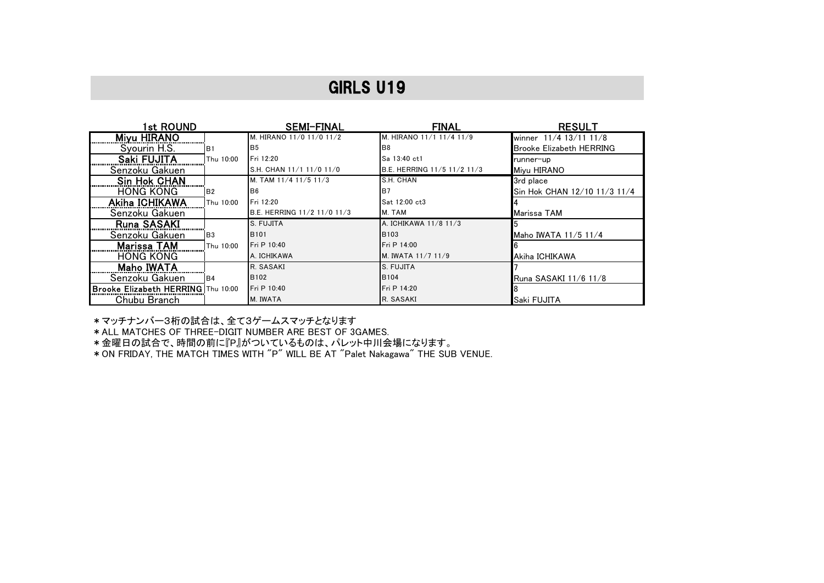| 1st ROUND                          |                | <b>SEMI-FINAL</b>           | <b>FINAL</b>                | <b>RESULT</b>                   |
|------------------------------------|----------------|-----------------------------|-----------------------------|---------------------------------|
|                                    |                | M. HIRANO 11/0 11/0 11/2    | M. HIRANO 11/1 11/4 11/9    | winner 11/4 13/11 11/8          |
| Syourin H.S.                       | <b>B1</b>      | B <sub>5</sub>              | B <sub>8</sub>              | <b>Brooke Elizabeth HERRING</b> |
| Saki FUJITA                        | Thu 10:00      | Fri 12:20                   | Sa 13:40 ct1                | runner-up                       |
| Senzoku Gakuen                     |                | S.H. CHAN 11/1 11/0 11/0    | B.E. HERRING 11/5 11/2 11/3 | Mivu HIRANO                     |
| <b>Sin Hok CHAN</b>                |                | M. TAM 11/4 11/5 11/3       | S.H. CHAN                   | 3rd place                       |
| <b>HONG KONG</b>                   | <b>B2</b>      | IB6                         | B7                          | Sin Hok CHAN 12/10 11/3 11/4    |
| <b>Akiha ICHIKAWA</b>              | Thu 10:00      | Fri 12:20                   | Sat 12:00 ct3               |                                 |
| Senzoku Gakuen                     |                | B.E. HERRING 11/2 11/0 11/3 | M. TAM                      | Marissa TAM                     |
| <b>Runa SASAKI</b>                 |                | S. FUJITA                   | A. ICHIKAWA 11/8 11/3       |                                 |
| Senzoku Gakuen                     | B <sub>3</sub> | <b>B101</b>                 | <b>B103</b>                 | Maho IWATA 11/5 11/4            |
| <b>Marissa TAM</b>                 | Thu 10:00      | Fri P 10:40                 | Fri P 14:00                 |                                 |
| <b>HONG KONG</b>                   |                | A. ICHIKAWA                 | M. IWATA 11/7 11/9          | Akiha ICHIKAWA                  |
| <b>Maho IWATA</b>                  |                | R. SASAKI                   | S. FUJITA                   |                                 |
| Senzoku Gakuen                     | IB4            | B <sub>102</sub>            | <b>B104</b>                 | Runa SASAKI 11/6 11/8           |
| Brooke Elizabeth HERRING Thu 10:00 |                | Fri P 10:40                 | Fri P 14:20                 |                                 |
| Chubu Branch                       |                | M. IWATA                    | R. SASAKI                   | Saki FUJITA                     |

\*マッチナンバー3桁の試合は、全て3ゲームスマッチとなります

\*ALL MATCHES OF THREE-DIGIT NUMBER ARE BEST OF 3GAMES.

\*金曜日の試合で、時間の前に『P』がついているものは、パレット中川会場になります。

\*ON FRIDAY, THE MATCH TIMES WITH "P" WILL BE AT "Palet Nakagawa" THE SUB VENUE.